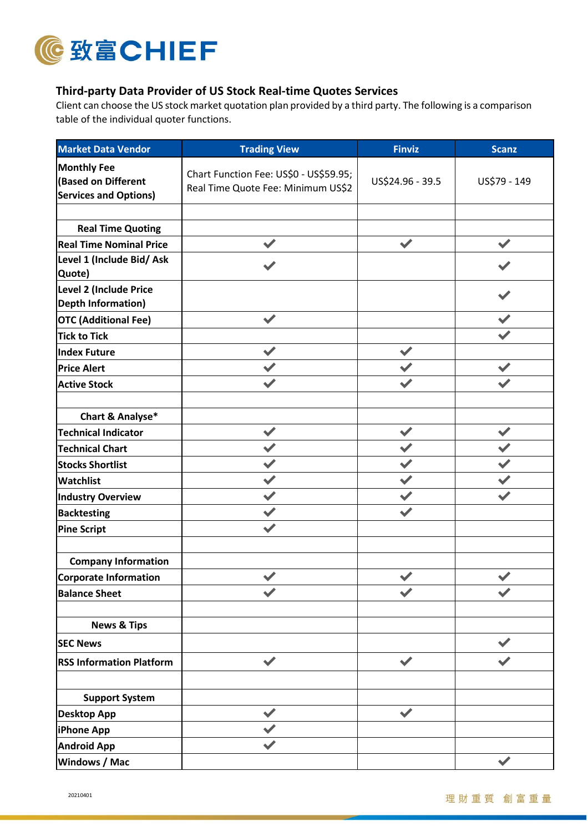

## **Third-party Data Provider of US Stock Real-time Quotes Services**

Client can choose the US stock market quotation plan provided by a third party. The following is a comparison table of the individual quoter functions.

| <b>Market Data Vendor</b>                                                       | <b>Trading View</b>                                                          | <b>Finviz</b>        | <b>Scanz</b> |
|---------------------------------------------------------------------------------|------------------------------------------------------------------------------|----------------------|--------------|
| <b>Monthly Fee</b><br><b>Based on Different</b><br><b>Services and Options)</b> | Chart Function Fee: US\$0 - US\$59.95;<br>Real Time Quote Fee: Minimum US\$2 | US\$24.96 - 39.5     | US\$79 - 149 |
| <b>Real Time Quoting</b>                                                        |                                                                              |                      |              |
| <b>Real Time Nominal Price</b>                                                  |                                                                              |                      |              |
| Level 1 (Include Bid/ Ask<br>Quote)                                             |                                                                              |                      |              |
| <b>Level 2 (Include Price</b><br><b>Depth Information)</b>                      |                                                                              |                      |              |
| <b>OTC (Additional Fee)</b>                                                     | $\blacktriangledown$                                                         |                      |              |
| <b>Tick to Tick</b>                                                             |                                                                              |                      |              |
| Index Future                                                                    |                                                                              |                      |              |
| <b>Price Alert</b>                                                              |                                                                              |                      |              |
| <b>Active Stock</b>                                                             |                                                                              |                      |              |
| Chart & Analyse*                                                                |                                                                              |                      |              |
| Technical Indicator                                                             |                                                                              |                      |              |
| <b>Technical Chart</b>                                                          |                                                                              |                      |              |
| <b>Stocks Shortlist</b>                                                         |                                                                              |                      |              |
| Watchlist                                                                       |                                                                              |                      |              |
| <b>Industry Overview</b>                                                        |                                                                              |                      |              |
| <b>Backtesting</b>                                                              |                                                                              |                      |              |
| <b>Pine Script</b>                                                              |                                                                              |                      |              |
| <b>Company Information</b>                                                      |                                                                              |                      |              |
| Corporate Information                                                           |                                                                              |                      |              |
| <b>Balance Sheet</b>                                                            |                                                                              |                      |              |
| <b>News &amp; Tips</b>                                                          |                                                                              |                      |              |
| <b>SEC News</b>                                                                 |                                                                              |                      |              |
| <b>RSS Information Platform</b>                                                 | $\blacktriangledown$                                                         | $\blacktriangledown$ |              |
| <b>Support System</b>                                                           |                                                                              |                      |              |
| <b>Desktop App</b>                                                              |                                                                              | $\blacktriangledown$ |              |
| iPhone App                                                                      |                                                                              |                      |              |
| <b>Android App</b>                                                              |                                                                              |                      |              |
| <b>Windows / Mac</b>                                                            |                                                                              |                      |              |